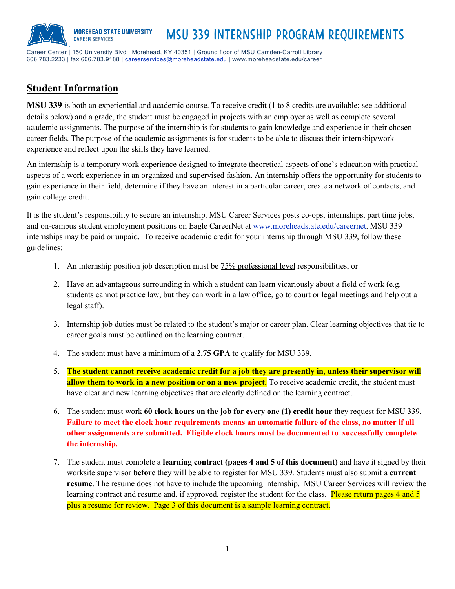606.783.2233 | fax 606.783.9188 | careerservices@moreheadstate.edu | www.moreheadstate.edu/career

# **Student Information**

**MSU 339** is both an experiential and academic course. To receive credit (1 to 8 credits are available; see additional details below) and a grade, the student must be engaged in projects with an employer as well as complete several academic assignments. The purpose of the internship is for students to gain knowledge and experience in their chosen career fields. The purpose of the academic assignments is for students to be able to discuss their internship/work experience and reflect upon the skills they have learned.

An internship is a temporary work experience designed to integrate theoretical aspects of one's education with practical aspects of a work experience in an organized and supervised fashion. An internship offers the opportunity for students to gain experience in their field, determine if they have an interest in a particular career, create a network of contacts, and gain college credit.

It is the student's responsibility to secure an internship. MSU Career Services posts co-ops, internships, part time jobs, and on-campus student employment positions on Eagle CareerNet at www.moreheadstate.edu/careernet. MSU 339 internships may be paid or unpaid. To receive academic credit for your internship through MSU 339, follow these guidelines:

- 1. An internship position job description must be 75% professional level responsibilities, or
- 2. Have an advantageous surrounding in which a student can learn vicariously about a field of work (e.g. students cannot practice law, but they can work in a law office, go to court or legal meetings and help out a legal staff).
- 3. Internship job duties must be related to the student's major or career plan. Clear learning objectives that tie to career goals must be outlined on the learning contract.
- 4. The student must have a minimum of a **2.75 GPA** to qualify for MSU 339.
- 5. **The student cannot receive academic credit for a job they are presently in, unless their supervisor will** allow them to work in a new position or on a new project. To receive academic credit, the student must have clear and new learning objectives that are clearly defined on the learning contract.
- 6. The student must work **60 clock hours on the job for every one (1) credit hour** they request for MSU 339. **Failure to meet the clock hour requirements means an automatic failure of the class, no matter if all other assignments are submitted. Eligible clock hours must be documented to successfully complete the internship.**
- 7. The student must complete a **learning contract (pages 4 and 5 of this document)** and have it signed by their worksite supervisor **before** they will be able to register for MSU 339. Students must also submit a **current resume**. The resume does not have to include the upcoming internship. MSU Career Services will review the learning contract and resume and, if approved, register the student for the class. Please return pages 4 and 5 plus a resume for review. Page 3 of this document is a sample learning contract.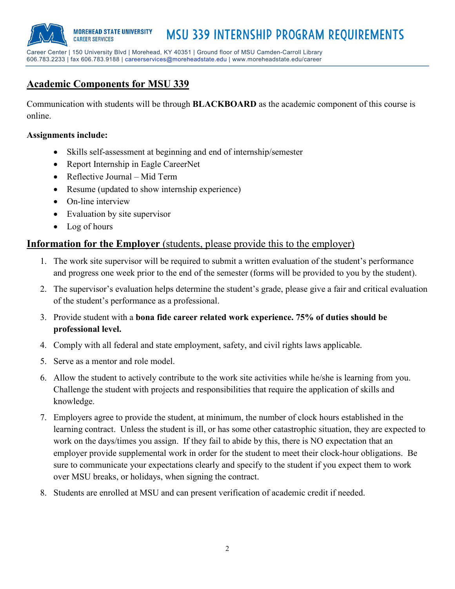Msu 339 internship program requirements **MOREHEAD STATE UNIVERSITY CAREER SERVICES** 

Career Center | 150 University Blvd | Morehead, KY 40351 | Ground floor of MSU Camden-Carroll Library 606.783.2233 | fax 606.783.9188 | careerservices@moreheadstate.edu | www.moreheadstate.edu/career

# **Academic Components for MSU 339**

Communication with students will be through **BLACKBOARD** as the academic component of this course is online.

#### **Assignments include:**

- Skills self-assessment at beginning and end of internship/semester
- Report Internship in Eagle CareerNet
- Reflective Journal Mid Term
- Resume (updated to show internship experience)
- On-line interview
- Evaluation by site supervisor
- Log of hours

## **Information for the Employer** (students, please provide this to the employer)

- 1. The work site supervisor will be required to submit a written evaluation of the student's performance and progress one week prior to the end of the semester (forms will be provided to you by the student).
- 2. The supervisor's evaluation helps determine the student's grade, please give a fair and critical evaluation of the student's performance as a professional.
- 3. Provide student with a **bona fide career related work experience. 75% of duties should be professional level.**
- 4. Comply with all federal and state employment, safety, and civil rights laws applicable.
- 5. Serve as a mentor and role model.
- 6. Allow the student to actively contribute to the work site activities while he/she is learning from you. Challenge the student with projects and responsibilities that require the application of skills and knowledge.
- 7. Employers agree to provide the student, at minimum, the number of clock hours established in the learning contract. Unless the student is ill, or has some other catastrophic situation, they are expected to work on the days/times you assign. If they fail to abide by this, there is NO expectation that an employer provide supplemental work in order for the student to meet their clock-hour obligations. Be sure to communicate your expectations clearly and specify to the student if you expect them to work over MSU breaks, or holidays, when signing the contract.
- 8. Students are enrolled at MSU and can present verification of academic credit if needed.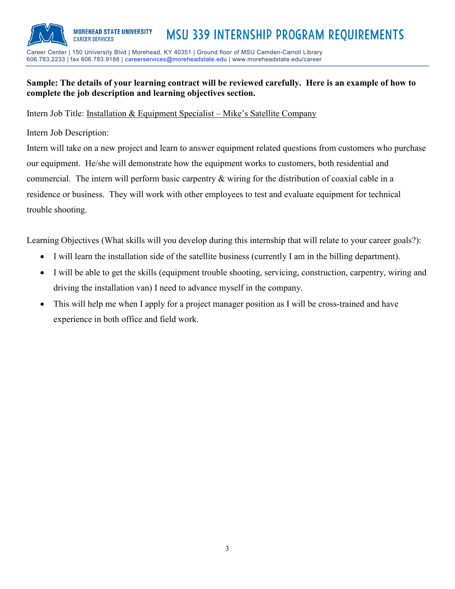

# 606.783.2233 | fax 606.783.9188 | careerservices@moreheadstate.edu | www.moreheadstate.edu/career

### **Sample: The details of your learning contract will be reviewed carefully. Here is an example of how to complete the job description and learning objectives section.**

#### Intern Job Title: Installation & Equipment Specialist – Mike's Satellite Company

Intern Job Description:

Intern will take on a new project and learn to answer equipment related questions from customers who purchase our equipment. He/she will demonstrate how the equipment works to customers, both residential and commercial. The intern will perform basic carpentry & wiring for the distribution of coaxial cable in a residence or business. They will work with other employees to test and evaluate equipment for technical trouble shooting.

Learning Objectives (What skills will you develop during this internship that will relate to your career goals?):

- I will learn the installation side of the satellite business (currently I am in the billing department).
- I will be able to get the skills (equipment trouble shooting, servicing, construction, carpentry, wiring and driving the installation van) I need to advance myself in the company.
- This will help me when I apply for a project manager position as I will be cross-trained and have experience in both office and field work.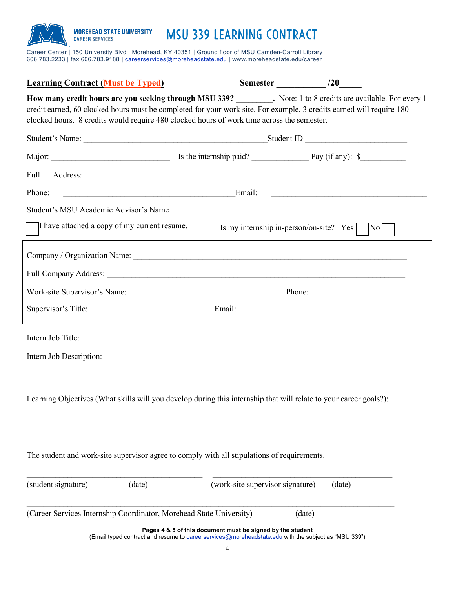#### **MOREHEAD STATE UNIVERSITY** MSu 339 Learning Contract **CAREER SERVICES**

Career Center | 150 University Blvd | Morehead, KY 40351 | Ground floor of MSU Camden-Carroll Library 606.783.2233 | fax 606.783.9188 | careerservices@moreheadstate.edu | www.moreheadstate.edu/career

| <b>Learning Contract (Must be Typed)</b>                                                                                                                                                                                                                                                                                     |                                                            | Semester /20                                                                                        |        |  |  |  |  |
|------------------------------------------------------------------------------------------------------------------------------------------------------------------------------------------------------------------------------------------------------------------------------------------------------------------------------|------------------------------------------------------------|-----------------------------------------------------------------------------------------------------|--------|--|--|--|--|
| How many credit hours are you seeking through MSU 339? Note: 1 to 8 credits are available. For every 1<br>credit earned, 60 clocked hours must be completed for your work site. For example, 3 credits earned will require 180<br>clocked hours. 8 credits would require 480 clocked hours of work time across the semester. |                                                            |                                                                                                     |        |  |  |  |  |
|                                                                                                                                                                                                                                                                                                                              |                                                            |                                                                                                     |        |  |  |  |  |
|                                                                                                                                                                                                                                                                                                                              |                                                            |                                                                                                     |        |  |  |  |  |
| Address:<br>Full                                                                                                                                                                                                                                                                                                             |                                                            |                                                                                                     |        |  |  |  |  |
| Email:<br>Phone:                                                                                                                                                                                                                                                                                                             |                                                            |                                                                                                     |        |  |  |  |  |
|                                                                                                                                                                                                                                                                                                                              |                                                            |                                                                                                     |        |  |  |  |  |
| I have attached a copy of my current resume.                                                                                                                                                                                                                                                                                 |                                                            | Is my internship in-person/on-site? $Yes$   $No$                                                    |        |  |  |  |  |
|                                                                                                                                                                                                                                                                                                                              |                                                            |                                                                                                     |        |  |  |  |  |
|                                                                                                                                                                                                                                                                                                                              |                                                            |                                                                                                     |        |  |  |  |  |
|                                                                                                                                                                                                                                                                                                                              |                                                            |                                                                                                     |        |  |  |  |  |
|                                                                                                                                                                                                                                                                                                                              |                                                            |                                                                                                     |        |  |  |  |  |
| Intern Job Title:                                                                                                                                                                                                                                                                                                            |                                                            |                                                                                                     |        |  |  |  |  |
| Intern Job Description:                                                                                                                                                                                                                                                                                                      |                                                            |                                                                                                     |        |  |  |  |  |
| Learning Objectives (What skills will you develop during this internship that will relate to your career goals?):                                                                                                                                                                                                            |                                                            |                                                                                                     |        |  |  |  |  |
| The student and work-site supervisor agree to comply with all stipulations of requirements.                                                                                                                                                                                                                                  |                                                            |                                                                                                     |        |  |  |  |  |
| (student signature)<br>(date)                                                                                                                                                                                                                                                                                                |                                                            | (work-site supervisor signature)                                                                    | (date) |  |  |  |  |
| (Career Services Internship Coordinator, Morehead State University)                                                                                                                                                                                                                                                          |                                                            | (date)                                                                                              |        |  |  |  |  |
|                                                                                                                                                                                                                                                                                                                              | Pages 4 & 5 of this document must be signed by the student | (Email typed contract and resume to careerservices@moreheadstate.edu with the subject as "MSU 339") |        |  |  |  |  |